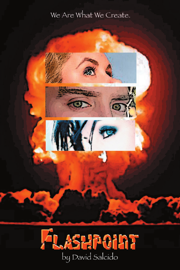# We Are What We Create.





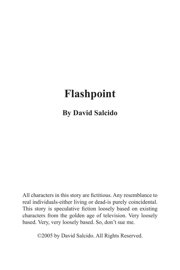# **Flashpoint**

**By David Salcido**

All characters in this story are fictitious. Any resemblance to real individuals-either living or dead-is purely coincidental. This story is speculative fiction loosely based on existing characters from the golden age of television. Very loosely based. Very, very loosely based. So, don't sue me.

©2005 by David Salcido. All Rights Reserved.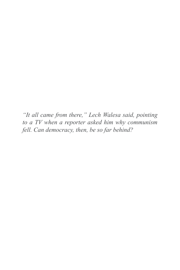*"It all came from there," Lech Walesa said, pointing to a TV when a reporter asked him why communism fell. Can democracy, then, be so far behind?*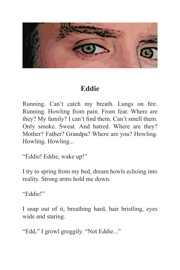

#### **Eddie**

Running. Can't catch my breath. Lungs on fire. Running. Howling from pain. From fear. Where are they? My family? I can't find them. Can't smell them. Only smoke. Sweat. And hatred. Where are they? Mother? Father? Grandpa? Where are you? Howling. Howling. Howling...

"Eddie! Eddie, wake up!"

I try to spring from my bed, dream howls echoing into reality. Strong arms hold me down.

"Eddie!"

I snap out of it, breathing hard, hair bristling, eyes wide and staring.

"Edd," I growl groggily. "Not Eddie..."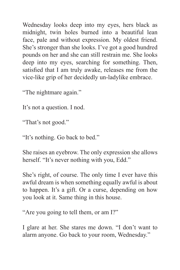Wednesday looks deep into my eyes, hers black as midnight, twin holes burned into a beautiful lean face, pale and without expression. My oldest friend. She's stronger than she looks. I've got a good hundred pounds on her and she can still restrain me. She looks deep into my eyes, searching for something. Then, satisfied that I am truly awake, releases me from the vice-like grip of her decidedly un-ladylike embrace.

"The nightmare again."

It's not a question. I nod.

"That's not good."

"It's nothing. Go back to bed."

She raises an eyebrow. The only expression she allows herself. "It's never nothing with you, Edd."

She's right, of course. The only time I ever have this awful dream is when something equally awful is about to happen. It's a gift. Or a curse, depending on how you look at it. Same thing in this house.

"Are you going to tell them, or am I?"

I glare at her. She stares me down. "I don't want to alarm anyone. Go back to your room, Wednesday."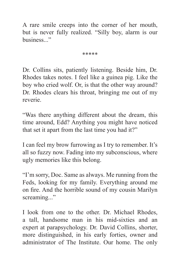A rare smile creeps into the corner of her mouth, but is never fully realized. "Silly boy, alarm is our business..."

\*\*\*\*\*

Dr. Collins sits, patiently listening. Beside him, Dr. Rhodes takes notes. I feel like a guinea pig. Like the boy who cried wolf. Or, is that the other way around? Dr. Rhodes clears his throat, bringing me out of my reverie.

"Was there anything different about the dream, this time around, Edd? Anything you might have noticed that set it apart from the last time you had it?"

I can feel my brow furrowing as I try to remember. It's all so fuzzy now. Fading into my subconscious, where ugly memories like this belong.

"I'm sorry, Doc. Same as always. Me running from the Feds, looking for my family. Everything around me on fire. And the horrible sound of my cousin Marilyn screaming..."

I look from one to the other. Dr. Michael Rhodes, a tall, handsome man in his mid-sixties and an expert at parapsychology. Dr. David Collins, shorter, more distinguished, in his early forties, owner and administrator of The Institute. Our home. The only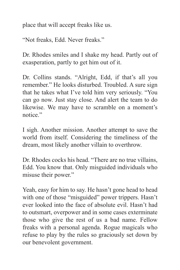place that will accept freaks like us.

"Not freaks, Edd. Never freaks."

Dr. Rhodes smiles and I shake my head. Partly out of exasperation, partly to get him out of it.

Dr. Collins stands. "Alright, Edd, if that's all you remember." He looks disturbed. Troubled. A sure sign that he takes what I've told him very seriously. "You can go now. Just stay close. And alert the team to do likewise. We may have to scramble on a moment's notice"

I sigh. Another mission. Another attempt to save the world from itself. Considering the timeliness of the dream, most likely another villain to overthrow.

Dr. Rhodes cocks his head. "There are no true villains, Edd. You know that. Only misguided individuals who misuse their power."

Yeah, easy for him to say. He hasn't gone head to head with one of those "misguided" power trippers. Hasn't ever looked into the face of absolute evil. Hasn't had to outsmart, overpower and in some cases exterminate those who give the rest of us a bad name. Fellow freaks with a personal agenda. Rogue magicals who refuse to play by the rules so graciously set down by our benevolent government.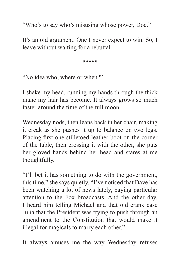"Who's to say who's misusing whose power, Doc."

It's an old argument. One I never expect to win. So, I leave without waiting for a rebuttal.

\*\*\*\*\*

"No idea who, where or when?"

I shake my head, running my hands through the thick mane my hair has become. It always grows so much faster around the time of the full moon.

Wednesday nods, then leans back in her chair, making it creak as she pushes it up to balance on two legs. Placing first one stilletoed leather boot on the corner of the table, then crossing it with the other, she puts her gloved hands behind her head and stares at me thoughtfully.

"I'll bet it has something to do with the government, this time," she says quietly. "I've noticed that Dave has been watching a lot of news lately, paying particular attention to the Fox broadcasts. And the other day, I heard him telling Michael and that old crank case Julia that the President was trying to push through an amendment to the Constitution that would make it illegal for magicals to marry each other."

It always amuses me the way Wednesday refuses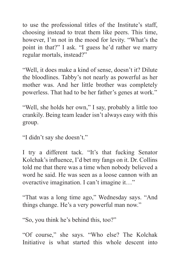to use the professional titles of the Institute's staff, choosing instead to treat them like peers. This time, however, I'm not in the mood for levity. "What's the point in that?" I ask. "I guess he'd rather we marry regular mortals, instead?"

"Well, it does make a kind of sense, doesn't it? Dilute the bloodlines. Tabby's not nearly as powerful as her mother was. And her little brother was completely powerless. That had to be her father's genes at work."

"Well, she holds her own," I say, probably a little too crankily. Being team leader isn't always easy with this group.

"I didn't say she doesn't."

I try a different tack. "It's that fucking Senator Kolchak's influence, I'd bet my fangs on it. Dr. Collins told me that there was a time when nobody believed a word he said. He was seen as a loose cannon with an overactive imagination. I can't imagine it…"

"That was a long time ago," Wednesday says. "And things change. He's a very powerful man now."

"So, you think he's behind this, too?"

"Of course," she says. "Who else? The Kolchak Initiative is what started this whole descent into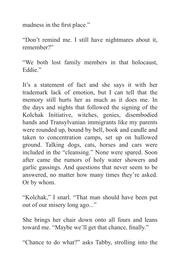madness in the first place."

"Don't remind me. I still have nightmares about it, remember?"

"We both lost family members in that holocaust, Eddie."

It's a statement of fact and she says it with her trademark lack of emotion, but I can tell that the memory still hurts her as much as it does me. In the days and nights that followed the signing of the Kolchak Initiative, witches, genies, disembodied hands and Transylvanian immigrants like my parents were rounded up, bound by bell, book and candle and taken to concentration camps, set up on hallowed ground. Talking dogs, cats, horses and cars were included in the "cleansing." None were spared. Soon after came the rumors of holy water showers and garlic gassings. And questions that never seem to be answered, no matter how many times they're asked. Or by whom.

"Kolchak," I snarl. "That man should have been put out of our misery long ago..."

She brings her chair down onto all fours and leans toward me. "Maybe we'll get that chance, finally."

"Chance to do what?" asks Tabby, strolling into the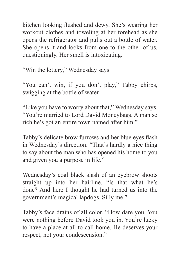kitchen looking flushed and dewy. She's wearing her workout clothes and toweling at her forehead as she opens the refrigerator and pulls out a bottle of water. She opens it and looks from one to the other of us, questioningly. Her smell is intoxicating.

"Win the lottery," Wednesday says.

"You can't win, if you don't play," Tabby chirps, swigging at the bottle of water.

"Like you have to worry about that," Wednesday says. "You're married to Lord David Moneybags. A man so rich he's got an entire town named after him."

Tabby's delicate brow furrows and her blue eyes flash in Wednesday's direction. "That's hardly a nice thing to say about the man who has opened his home to you and given you a purpose in life."

Wednesday's coal black slash of an eyebrow shoots straight up into her hairline. "Is that what he's done? And here I thought he had turned us into the government's magical lapdogs. Silly me."

Tabby's face drains of all color. "How dare you. You were nothing before David took you in. You're lucky to have a place at all to call home. He deserves your respect, not your condescension."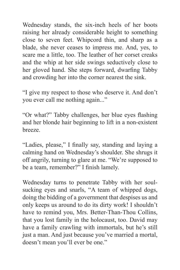Wednesday stands, the six-inch heels of her boots raising her already considerable height to something close to seven feet. Whipcord thin, and sharp as a blade, she never ceases to impress me. And, yes, to scare me a little, too. The leather of her corset creaks and the whip at her side swings seductively close to her gloved hand. She steps forward, dwarfing Tabby and crowding her into the corner nearest the sink.

"I give my respect to those who deserve it. And don't you ever call me nothing again..."

"Or what?" Tabby challenges, her blue eyes flashing and her blonde hair beginning to lift in a non-existent breeze.

"Ladies, please," I finally say, standing and laying a calming hand on Wednesday's shoulder. She shrugs it off angrily, turning to glare at me. "We're supposed to be a team, remember?" I finish lamely.

Wednesday turns to penetrate Tabby with her soulsucking eyes and snarls, "A team of whipped dogs, doing the bidding of a government that despises us and only keeps us around to do its dirty work! I shouldn't have to remind you, Mrs. Better-Than-Thou Collins, that you lost family in the holocaust, too. David may have a family crawling with immortals, but he's still just a man. And just because you've married a mortal, doesn't mean you'll ever be one."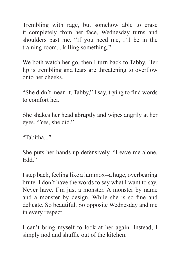Trembling with rage, but somehow able to erase it completely from her face, Wednesday turns and shoulders past me. "If you need me, I'll be in the training room... killing something."

We both watch her go, then I turn back to Tabby. Her lip is trembling and tears are threatening to overflow onto her cheeks.

"She didn't mean it, Tabby," I say, trying to find words to comfort her

She shakes her head abruptly and wipes angrily at her eyes. "Yes, she did."

"Tabitha"

She puts her hands up defensively. "Leave me alone, Edd<sup>"</sup>

I step back, feeling like a lummox--a huge, overbearing brute. I don't have the words to say what I want to say. Never have. I'm just a monster. A monster by name and a monster by design. While she is so fine and delicate. So beautiful. So opposite Wednesday and me in every respect.

I can't bring myself to look at her again. Instead, I simply nod and shuffle out of the kitchen.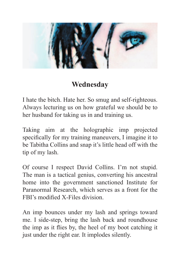

## **Wednesday**

I hate the bitch. Hate her. So smug and self-righteous. Always lecturing us on how grateful we should be to her husband for taking us in and training us.

Taking aim at the holographic imp projected specifically for my training maneuvers, I imagine it to be Tabitha Collins and snap it's little head off with the tip of my lash.

Of course I respect David Collins. I'm not stupid. The man is a tactical genius, converting his ancestral home into the government sanctioned Institute for Paranormal Research, which serves as a front for the FBI's modified X-Files division

An imp bounces under my lash and springs toward me. I side-step, bring the lash back and roundhouse the imp as it flies by, the heel of my boot catching it just under the right ear. It implodes silently.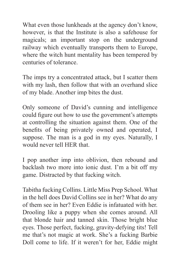What even those lunkheads at the agency don't know, however, is that the Institute is also a safehouse for magicals; an important stop on the underground railway which eventually transports them to Europe, where the witch hunt mentality has been tempered by centuries of tolerance.

The imps try a concentrated attack, but I scatter them with my lash, then follow that with an overhand slice of my blade. Another imp bites the dust.

Only someone of David's cunning and intelligence could figure out how to use the government's attempts at controlling the situation against them. One of the benefits of being privately owned and operated, I suppose. The man is a god in my eyes. Naturally, I would never tell HER that.

I pop another imp into oblivion, then rebound and backlash two more into ionic dust. I'm a bit off my game. Distracted by that fucking witch.

Tabitha fucking Collins. Little Miss Prep School. What in the hell does David Collins see in her? What do any of them see in her? Even Eddie is infatuated with her. Drooling like a puppy when she comes around. All that blonde hair and tanned skin. Those bright blue eyes. Those perfect, fucking, gravity-defying tits! Tell me that's not magic at work. She's a fucking Barbie Doll come to life. If it weren't for her, Eddie might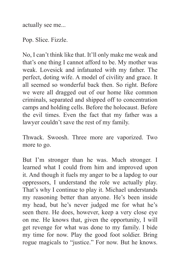actually see me...

Pop. Slice. Fizzle.

No, I can't think like that. It'll only make me weak and that's one thing I cannot afford to be. My mother was weak. Lovesick and infatuated with my father. The perfect, doting wife. A model of civility and grace. It all seemed so wonderful back then. So right. Before we were all dragged out of our home like common criminals, separated and shipped off to concentration camps and holding cells. Before the holocaust. Before the evil times. Even the fact that my father was a lawyer couldn't save the rest of my family.

Thwack. Swoosh. Three more are vaporized. Two more to go.

But I'm stronger than he was. Much stronger. I learned what I could from him and improved upon it. And though it fuels my anger to be a lapdog to our oppressors, I understand the role we actually play. That's why I continue to play it. Michael understands my reasoning better than anyone. He's been inside my head, but he's never judged me for what he's seen there. He does, however, keep a very close eye on me. He knows that, given the opportunity, I will get revenge for what was done to my family. I bide my time for now. Play the good foot soldier. Bring rogue magicals to "justice." For now. But he knows.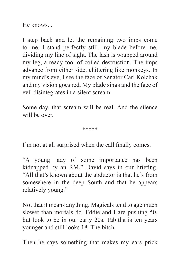He knows...

I step back and let the remaining two imps come to me. I stand perfectly still, my blade before me, dividing my line of sight. The lash is wrapped around my leg, a ready tool of coiled destruction. The imps advance from either side, chittering like monkeys. In my mind's eye, I see the face of Senator Carl Kolchak and my vision goes red. My blade sings and the face of evil disintegrates in a silent scream.

Some day, that scream will be real. And the silence will be over.

\*\*\*\*\*

I'm not at all surprised when the call finally comes.

"A young lady of some importance has been kidnapped by an RM," David says in our briefing. "All that's known about the abductor is that he's from somewhere in the deep South and that he appears relatively young."

Not that it means anything. Magicals tend to age much slower than mortals do. Eddie and I are pushing 50, but look to be in our early 20s. Tabitha is ten years younger and still looks 18. The bitch.

Then he says something that makes my ears prick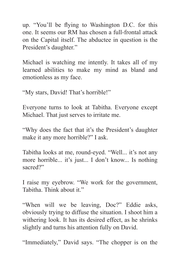up. "You'll be flying to Washington D.C. for this one. It seems our RM has chosen a full-frontal attack on the Capital itself. The abductee in question is the President's daughter."

Michael is watching me intently. It takes all of my learned abilities to make my mind as bland and emotionless as my face.

"My stars, David! That's horrible!"

Everyone turns to look at Tabitha. Everyone except Michael. That just serves to irritate me.

"Why does the fact that it's the President's daughter make it any more horrible?" I ask.

Tabitha looks at me, round-eyed. "Well... it's not any more horrible... it's just... I don't know... Is nothing sacred?"

I raise my eyebrow. "We work for the government, Tabitha. Think about it."

"When will we be leaving, Doc?" Eddie asks, obviously trying to diffuse the situation. I shoot him a withering look. It has its desired effect, as he shrinks slightly and turns his attention fully on David.

"Immediately," David says. "The chopper is on the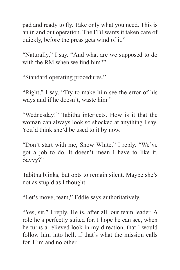pad and ready to fly. Take only what you need. This is an in and out operation. The FBI wants it taken care of quickly, before the press gets wind of it."

"Naturally," I say. "And what are we supposed to do with the RM when we find  $him?$ "

"Standard operating procedures."

"Right," I say. "Try to make him see the error of his ways and if he doesn't, waste him."

"Wednesday!" Tabitha interjects. How is it that the woman can always look so shocked at anything I say. You'd think she'd be used to it by now.

"Don't start with me, Snow White," I reply. "We've got a job to do. It doesn't mean I have to like it. Savvy?"

Tabitha blinks, but opts to remain silent. Maybe she's not as stupid as I thought.

"Let's move, team," Eddie says authoritatively.

"Yes, sir," I reply. He is, after all, our team leader. A role he's perfectly suited for. I hope he can see, when he turns a relieved look in my direction, that I would follow him into hell, if that's what the mission calls for. Him and no other.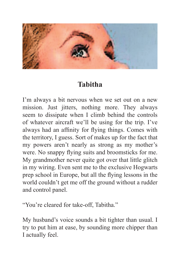

#### **Tabitha**

I'm always a bit nervous when we set out on a new mission. Just jitters, nothing more. They always seem to dissipate when I climb behind the controls of whatever aircraft we'll be using for the trip. I've always had an affinity for flying things. Comes with the territory, I guess. Sort of makes up for the fact that my powers aren't nearly as strong as my mother's were. No snappy flying suits and broomsticks for me. My grandmother never quite got over that little glitch in my wiring. Even sent me to the exclusive Hogwarts prep school in Europe, but all the flying lessons in the world couldn't get me off the ground without a rudder and control panel.

"You're cleared for take-off, Tabitha."

My husband's voice sounds a bit tighter than usual. I try to put him at ease, by sounding more chipper than I actually feel.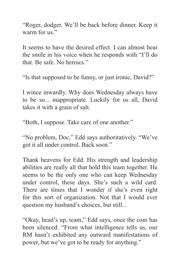"Roger, dodger. We'll be back before dinner. Keep it warm for us"

It seems to have the desired effect. I can almost hear the smile in his voice when he responds with "I'll do that. Be safe. No heroics."

"Is that supposed to be funny, or just ironic, David?"

I wince inwardly. Why does Wednesday always have to be so... inappropriate. Luckily for us all, David takes it with a grain of salt.

"Both, I suppose. Take care of one another."

"No problem, Doc," Edd says authoritatively. "We've got it all under control. Back soon."

Thank heavens for Edd. His strength and leadership abilities are really all that hold this team together. He seems to be the only one who can keep Wednesday under control, these days. She's such a wild card. There are times that I wonder if she's even right for this sort of organization. Not that I would ever question my husband's choices, but still...

"Okay, head's up, team," Edd says, once the com has been silenced. "From what intelligence tells us, our RM hasn't exhibited any outward manifestations of power, but we've got to be ready for anything."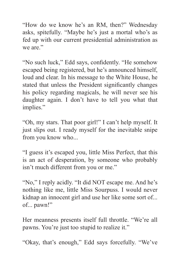"How do we know he's an RM, then?" Wednesday asks, spitefully. "Maybe he's just a mortal who's as fed up with our current presidential administration as we are."

"No such luck," Edd says, confidently. "He somehow escaped being registered, but he's announced himself, loud and clear. In his message to the White House, he stated that unless the President significantly changes his policy regarding magicals, he will never see his daughter again. I don't have to tell you what that implies."

"Oh, my stars. That poor girl!" I can't help myself. It just slips out. I ready myself for the inevitable snipe from you know who...

"I guess it's escaped you, little Miss Perfect, that this is an act of desperation, by someone who probably isn't much different from you or me."

"No," I reply acidly. "It did NOT escape me. And he's nothing like me, little Miss Sourpuss. I would never kidnap an innocent girl and use her like some sort of... of... pawn!"

Her meanness presents itself full throttle. "We're all pawns. You're just too stupid to realize it."

"Okay, that's enough," Edd says forcefully. "We've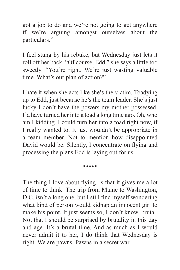got a job to do and we're not going to get anywhere if we're arguing amongst ourselves about the particulars."

I feel stung by his rebuke, but Wednesday just lets it roll off her back. "Of course, Edd," she says a little too sweetly. "You're right. We're just wasting valuable time. What's our plan of action?"

I hate it when she acts like she's the victim. Toadying up to Edd, just because he's the team leader. She's just lucky I don't have the powers my mother possessed. I'd have turned her into a toad a long time ago. Oh, who am I kidding. I could turn her into a toad right now, if I really wanted to. It just wouldn't be appropriate in a team member. Not to mention how disappointed David would be. Silently, I concentrate on flying and processing the plans Edd is laying out for us.

\*\*\*\*\*

The thing I love about flying, is that it gives me a lot of time to think. The trip from Maine to Washington, D.C. isn't a long one, but I still find myself wondering what kind of person would kidnap an innocent girl to make his point. It just seems so, I don't know, brutal. Not that I should be surprised by brutality in this day and age. It's a brutal time. And as much as I would never admit it to her, I do think that Wednesday is right. We are pawns. Pawns in a secret war.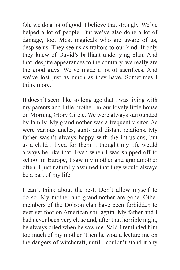Oh, we do a lot of good. I believe that strongly. We've helped a lot of people. But we've also done a lot of damage, too. Most magicals who are aware of us, despise us. They see us as traitors to our kind. If only they knew of David's brilliant underlying plan. And that, despite appearances to the contrary, we really are the good guys. We've made a lot of sacrifices. And we've lost just as much as they have. Sometimes I think more.

It doesn't seem like so long ago that I was living with my parents and little brother, in our lovely little house on Morning Glory Circle. We were always surrounded by family. My grandmother was a frequent visitor. As were various uncles, aunts and distant relations. My father wasn't always happy with the intrusions, but as a child I lived for them. I thought my life would always be like that. Even when I was shipped off to school in Europe, I saw my mother and grandmother often. I just naturally assumed that they would always be a part of my life.

I can't think about the rest. Don't allow myself to do so. My mother and grandmother are gone. Other members of the Dobson clan have been forbidden to ever set foot on American soil again. My father and I had never been very close and, after that horrible night, he always cried when he saw me. Said I reminded him too much of my mother. Then he would lecture me on the dangers of witchcraft, until I couldn't stand it any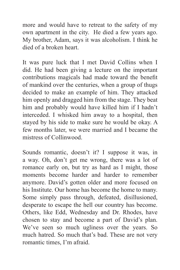more and would have to retreat to the safety of my own apartment in the city. He died a few years ago. My brother, Adam, says it was alcoholism. I think he died of a broken heart.

It was pure luck that I met David Collins when I did. He had been giving a lecture on the important contributions magicals had made toward the benefit of mankind over the centuries, when a group of thugs decided to make an example of him. They attacked him openly and dragged him from the stage. They beat him and probably would have killed him if I hadn't interceded. I whisked him away to a hospital, then stayed by his side to make sure he would be okay. A few months later, we were married and I became the mistress of Collinwood.

Sounds romantic, doesn't it? I suppose it was, in a way. Oh, don't get me wrong, there was a lot of romance early on, but try as hard as I might, those moments become harder and harder to remember anymore. David's gotten older and more focused on his Institute. Our home has become the home to many. Some simply pass through, defeated, disillusioned, desperate to escape the hell our country has become. Others, like Edd, Wednesday and Dr. Rhodes, have chosen to stay and become a part of David's plan. We've seen so much ugliness over the years. So much hatred. So much that's bad. These are not very romantic times, I'm afraid.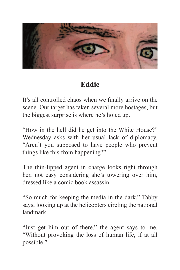

# **Eddie**

It's all controlled chaos when we finally arrive on the scene. Our target has taken several more hostages, but the biggest surprise is where he's holed up.

"How in the hell did he get into the White House?" Wednesday asks with her usual lack of diplomacy. "Aren't you supposed to have people who prevent things like this from happening?"

The thin-lipped agent in charge looks right through her, not easy considering she's towering over him, dressed like a comic book assassin.

"So much for keeping the media in the dark," Tabby says, looking up at the helicopters circling the national landmark.

"Just get him out of there," the agent says to me. "Without provoking the loss of human life, if at all possible."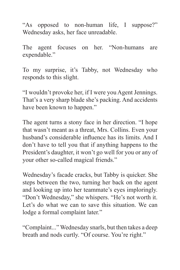"As opposed to non-human life, I suppose?" Wednesday asks, her face unreadable.

The agent focuses on her. "Non-humans are expendable."

To my surprise, it's Tabby, not Wednesday who responds to this slight.

"I wouldn't provoke her, if I were you Agent Jennings. That's a very sharp blade she's packing. And accidents have been known to happen."

The agent turns a stony face in her direction. "I hope that wasn't meant as a threat, Mrs. Collins. Even your husband's considerable influence has its limits. And I don't have to tell you that if anything happens to the President's daughter, it won't go well for you or any of your other so-called magical friends."

Wednesday's facade cracks, but Tabby is quicker. She steps between the two, turning her back on the agent and looking up into her teammate's eyes imploringly. "Don't Wednesday," she whispers. "He's not worth it. Let's do what we can to save this situation. We can lodge a formal complaint later."

"Complaint..." Wednesday snarls, but then takes a deep breath and nods curtly. "Of course. You're right."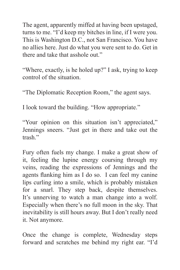The agent, apparently miffed at having been upstaged, turns to me. "I'd keep my bitches in line, if I were you. This is Washington D.C., not San Francisco. You have no allies here. Just do what you were sent to do. Get in there and take that asshole out."

"Where, exactly, is he holed up?" I ask, trying to keep control of the situation.

"The Diplomatic Reception Room," the agent says.

I look toward the building. "How appropriate."

"Your opinion on this situation isn't appreciated," Jennings sneers. "Just get in there and take out the trash"

Fury often fuels my change. I make a great show of it, feeling the lupine energy coursing through my veins, reading the expressions of Jennings and the agents flanking him as I do so. I can feel my canine lips curling into a smile, which is probably mistaken for a snarl. They step back, despite themselves. It's unnerving to watch a man change into a wolf. Especially when there's no full moon in the sky. That inevitability is still hours away. But I don't really need it. Not anymore.

Once the change is complete, Wednesday steps forward and scratches me behind my right ear. "I'd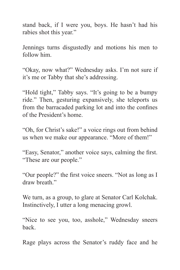stand back, if I were you, boys. He hasn't had his rabies shot this year."

Jennings turns disgustedly and motions his men to follow him.

"Okay, now what?" Wednesday asks. I'm not sure if it's me or Tabby that she's addressing.

"Hold tight," Tabby says. "It's going to be a bumpy ride." Then, gesturing expansively, she teleports us from the barracaded parking lot and into the confines of the President's home.

"Oh, for Christ's sake!" a voice rings out from behind us when we make our appearance. "More of them!"

"Easy, Senator," another voice says, calming the first. "These are our people."

"Our people?" the first voice sneers. "Not as long as I draw breath"

We turn, as a group, to glare at Senator Carl Kolchak. Instinctively, I utter a long menacing growl.

"Nice to see you, too, asshole," Wednesday sneers back.

Rage plays across the Senator's ruddy face and he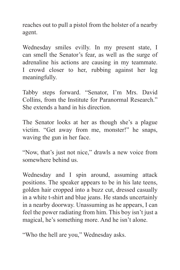reaches out to pull a pistol from the holster of a nearby agent.

Wednesday smiles evilly. In my present state, I can smell the Senator's fear, as well as the surge of adrenaline his actions are causing in my teammate. I crowd closer to her, rubbing against her leg meaningfully.

Tabby steps forward. "Senator, I'm Mrs. David Collins, from the Institute for Paranormal Research." She extends a hand in his direction.

The Senator looks at her as though she's a plague victim. "Get away from me, monster!" he snaps, waving the gun in her face.

"Now, that's just not nice," drawls a new voice from somewhere behind us.

Wednesday and I spin around, assuming attack positions. The speaker appears to be in his late teens, golden hair cropped into a buzz cut, dressed casually in a white t-shirt and blue jeans. He stands uncertainly in a nearby doorway. Unassuming as he appears, I can feel the power radiating from him. This boy isn't just a magical, he's something more. And he isn't alone.

"Who the hell are you," Wednesday asks.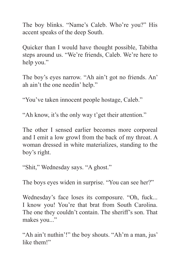The boy blinks. "Name's Caleb. Who're you?" His accent speaks of the deep South.

Quicker than I would have thought possible, Tabitha steps around us. "We're friends, Caleb. We're here to help you."

The boy's eyes narrow. "Ah ain't got no friends. An' ah ain't the one needin' help."

"You've taken innocent people hostage, Caleb."

"Ah know, it's the only way t'get their attention."

The other I sensed earlier becomes more corporeal and I emit a low growl from the back of my throat. A woman dressed in white materializes, standing to the boy's right.

"Shit," Wednesday says. "A ghost."

The boys eyes widen in surprise. "You can see her?"

Wednesday's face loses its composure. "Oh, fuck... I know you! You're that brat from South Carolina. The one they couldn't contain. The sheriff's son. That makes you..."

"Ah ain't nuthin'!" the boy shouts. "Ah'm a man, jus' like them!"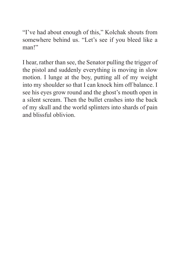"I've had about enough of this," Kolchak shouts from somewhere behind us. "Let's see if you bleed like a man!"

I hear, rather than see, the Senator pulling the trigger of the pistol and suddenly everything is moving in slow motion. I lunge at the boy, putting all of my weight into my shoulder so that I can knock him off balance. I see his eyes grow round and the ghost's mouth open in a silent scream. Then the bullet crashes into the back of my skull and the world splinters into shards of pain and blissful oblivion.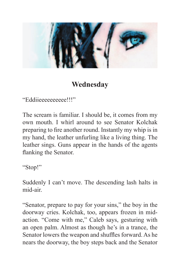

## **Wednesday**

"Eddiieeeeeeeeee!!!"

The scream is familiar. I should be, it comes from my own mouth. I whirl around to see Senator Kolchak preparing to fire another round. Instantly my whip is in my hand, the leather unfurling like a living thing. The leather sings. Guns appear in the hands of the agents flanking the Senator.

"Stop!"

Suddenly I can't move. The descending lash halts in mid-air.

"Senator, prepare to pay for your sins," the boy in the doorway cries. Kolchak, too, appears frozen in midaction. "Come with me," Caleb says, gesturing with an open palm. Almost as though he's in a trance, the Senator lowers the weapon and shuffles forward. As he nears the doorway, the boy steps back and the Senator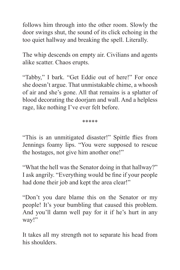follows him through into the other room. Slowly the door swings shut, the sound of its click echoing in the too quiet hallway and breaking the spell. Literally.

The whip descends on empty air. Civilians and agents alike scatter. Chaos erupts.

"Tabby," I bark. "Get Eddie out of here!" For once she doesn't argue. That unmistakable chime, a whoosh of air and she's gone. All that remains is a splatter of blood decorating the doorjam and wall. And a helpless rage, like nothing I've ever felt before.

\*\*\*\*\*

"This is an unmitigated disaster!" Spittle flies from Jennings foamy lips. "You were supposed to rescue the hostages, not give him another one!"

"What the hell was the Senator doing in that hallway?" I ask angrily. "Everything would be fine if your people had done their job and kept the area clear!"

"Don't you dare blame this on the Senator or my people! It's your bumbling that caused this problem. And you'll damn well pay for it if he's hurt in any way!"

It takes all my strength not to separate his head from his shoulders.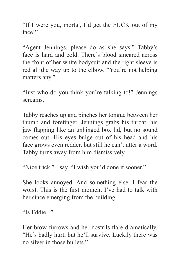"If I were you, mortal, I'd get the FUCK out of my face!"

"Agent Jennings, please do as she says." Tabby's face is hard and cold. There's blood smeared across the front of her white bodysuit and the right sleeve is red all the way up to the elbow. "You're not helping matters any."

"Just who do you think you're talking to!" Jennings screams.

Tabby reaches up and pinches her tongue between her thumb and forefinger. Jennings grabs his throat, his jaw flapping like an unhinged box lid, but no sound comes out. His eyes bulge out of his head and his face grows even redder, but still he can't utter a word. Tabby turns away from him dismissively.

"Nice trick," I say. "I wish you'd done it sooner."

She looks annoyed. And something else. I fear the worst. This is the first moment I've had to talk with her since emerging from the building.

"Is Eddie..."

Her brow furrows and her nostrils flare dramatically. "He's badly hurt, but he'll survive. Luckily there was no silver in those bullets."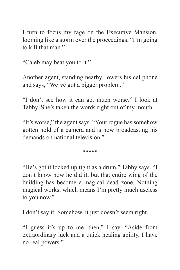I turn to focus my rage on the Executive Mansion, looming like a storm over the proceedings. "I'm going to kill that man."

"Caleb may beat you to it."

Another agent, standing nearby, lowers his cel phone and says, "We've got a bigger problem."

"I don't see how it can get much worse." I look at Tabby. She's taken the words right out of my mouth.

"It's worse," the agent says. "Your rogue has somehow gotten hold of a camera and is now broadcasting his demands on national television"

\*\*\*\*\*

"He's got it locked up tight as a drum," Tabby says. "I don't know how he did it, but that entire wing of the building has become a magical dead zone. Nothing magical works, which means I'm pretty much useless to you now."

I don't say it. Somehow, it just doesn't seem right.

"I guess it's up to me, then," I say. "Aside from extraordinary luck and a quick healing ability, I have no real powers."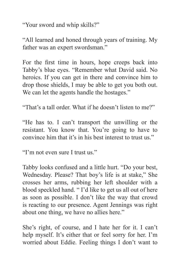"Your sword and whip skills?"

"All learned and honed through years of training. My father was an expert swordsman."

For the first time in hours, hope creeps back into Tabby's blue eyes. "Remember what David said. No heroics. If you can get in there and convince him to drop those shields, I may be able to get you both out. We can let the agents handle the hostages."

"That's a tall order. What if he doesn't listen to me?"

"He has to. I can't transport the unwilling or the resistant. You know that. You're going to have to convince him that it's in his best interest to trust us."

"I'm not even sure I trust us."

Tabby looks confused and a little hurt. "Do your best, Wednesday. Please? That boy's life is at stake," She crosses her arms, rubbing her left shoulder with a blood speckled hand. " I'd like to get us all out of here as soon as possible. I don't like the way that crowd is reacting to our presence. Agent Jennings was right about one thing, we have no allies here."

She's right, of course, and I hate her for it. I can't help myself. It's either that or feel sorry for her. I'm worried about Eddie. Feeling things I don't want to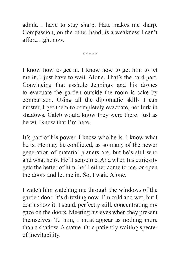admit. I have to stay sharp. Hate makes me sharp. Compassion, on the other hand, is a weakness I can't afford right now.

\*\*\*\*\*

I know how to get in. I know how to get him to let me in. I just have to wait. Alone. That's the hard part. Convincing that asshole Jennings and his drones to evacuate the garden outside the room is cake by comparison. Using all the diplomatic skills I can muster, I get them to completely evacuate, not lurk in shadows. Caleb would know they were there. Just as he will know that I'm here.

It's part of his power. I know who he is. I know what he is. He may be conflicted, as so many of the newer generation of material planers are, but he's still who and what he is. He'll sense me. And when his curiosity gets the better of him, he'll either come to me, or open the doors and let me in. So, I wait. Alone.

I watch him watching me through the windows of the garden door. It's drizzling now. I'm cold and wet, but I don't show it. I stand, perfectly still, concentrating my gaze on the doors. Meeting his eyes when they present themselves. To him, I must appear as nothing more than a shadow. A statue. Or a patiently waiting specter of inevitability.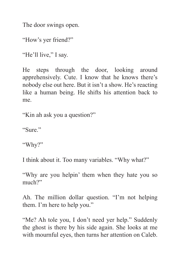The door swings open.

"How's yer friend?"

"He'll live." I say.

He steps through the door, looking around apprehensively. Cute. I know that he knows there's nobody else out here. But it isn't a show. He's reacting like a human being. He shifts his attention back to me.

"Kin ah ask you a question?"

"Sure."

"Why?"

I think about it. Too many variables. "Why what?"

"Why are you helpin' them when they hate you so much?"

Ah. The million dollar question. "I'm not helping them. I'm here to help you."

"Me? Ah tole you, I don't need yer help." Suddenly the ghost is there by his side again. She looks at me with mournful eyes, then turns her attention on Caleb.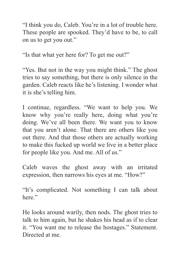"I think you do, Caleb. You're in a lot of trouble here. These people are spooked. They'd have to be, to call on us to get you out."

"Is that what yer here for? To get me out?"

"Yes. But not in the way you might think." The ghost tries to say something, but there is only silence in the garden. Caleb reacts like he's listening. I wonder what it is she's telling him.

I continue, regardless. "We want to help you. We know why you're really here, doing what you're doing. We've all been there. We want you to know that you aren't alone. That there are others like you out there. And that those others are actually working to make this fucked up world we live in a better place for people like you. And me. All of us."

Caleb waves the ghost away with an irritated expression, then narrows his eyes at me. "How?"

"It's complicated. Not something I can talk about here."

He looks around warily, then nods. The ghost tries to talk to him again, but he shakes his head as if to clear it. "You want me to release the hostages." Statement. Directed at me.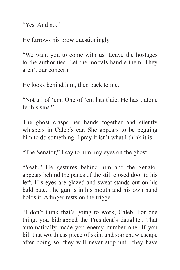"Yes. And no."

He furrows his brow questioningly.

"We want you to come with us. Leave the hostages to the authorities. Let the mortals handle them. They aren't our concern."

He looks behind him, then back to me.

"Not all of 'em. One of 'em has t'die. He has t'atone fer his sins."

The ghost clasps her hands together and silently whispers in Caleb's ear. She appears to be begging him to do something. I pray it isn't what I think it is.

"The Senator," I say to him, my eyes on the ghost.

"Yeah." He gestures behind him and the Senator appears behind the panes of the still closed door to his left. His eyes are glazed and sweat stands out on his bald pate. The gun is in his mouth and his own hand holds it. A finger rests on the trigger.

"I don't think that's going to work, Caleb. For one thing, you kidnapped the President's daughter. That automatically made you enemy number one. If you kill that worthless piece of skin, and somehow escape after doing so, they will never stop until they have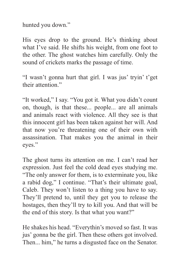hunted you down."

His eyes drop to the ground. He's thinking about what I've said. He shifts his weight, from one foot to the other. The ghost watches him carefully. Only the sound of crickets marks the passage of time.

"I wasn't gonna hurt that girl. I was jus' tryin' t'get their attention."

"It worked," I say. "You got it. What you didn't count on, though, is that these... people... are all animals and animals react with violence. All they see is that this innocent girl has been taken against her will. And that now you're threatening one of their own with assassination. That makes you the animal in their eyes."

The ghost turns its attention on me. I can't read her expression. Just feel the cold dead eyes studying me. "The only answer for them, is to exterminate you, like a rabid dog," I continue. "That's their ultimate goal, Caleb. They won't listen to a thing you have to say. They'll pretend to, until they get you to release the hostages, then they'll try to kill you. And that will be the end of this story. Is that what you want?"

He shakes his head. "Everythin's moved so fast. It was jus' gonna be the girl. Then these others got involved. Then... him," he turns a disgusted face on the Senator.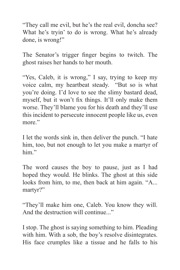"They call me evil, but he's the real evil, doncha see? What he's tryin' to do is wrong. What he's already done, is wrong!"

The Senator's trigger finger begins to twitch. The ghost raises her hands to her mouth.

"Yes, Caleb, it is wrong," I say, trying to keep my voice calm, my heartbeat steady. "But so is what you're doing. I'd love to see the slimy bastard dead, myself, but it won't fix things. It'll only make them worse. They'll blame you for his death and they'll use this incident to persecute innocent people like us, even more."

I let the words sink in, then deliver the punch. "I hate him, too, but not enough to let you make a martyr of him"

The word causes the boy to pause, just as I had hoped they would. He blinks. The ghost at this side looks from him, to me, then back at him again. "A... martyr?"

"They'll make him one, Caleb. You know they will. And the destruction will continue..."

I stop. The ghost is saying something to him. Pleading with him. With a sob, the boy's resolve disintegrates. His face crumples like a tissue and he falls to his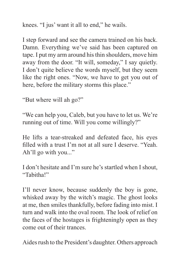knees. "I jus' want it all to end," he wails.

I step forward and see the camera trained on his back. Damn. Everything we've said has been captured on tape. I put my arm around his thin shoulders, move him away from the door. "It will, someday," I say quietly. I don't quite believe the words myself, but they seem like the right ones. "Now, we have to get you out of here, before the military storms this place."

"But where will ah go?"

"We can help you, Caleb, but you have to let us. We're running out of time. Will you come willingly?"

He lifts a tear-streaked and defeated face, his eyes filled with a trust I'm not at all sure I deserve. "Yeah. Ah'll go with you..."

I don't hesitate and I'm sure he's startled when I shout, "Tabitha!"

I'll never know, because suddenly the boy is gone, whisked away by the witch's magic. The ghost looks at me, then smiles thankfully, before fading into mist. I turn and walk into the oval room. The look of relief on the faces of the hostages is frighteningly open as they come out of their trances.

Aides rush to the President's daughter. Others approach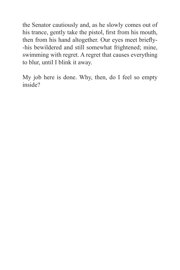the Senator cautiously and, as he slowly comes out of his trance, gently take the pistol, first from his mouth, then from his hand altogether. Our eyes meet briefly--his bewildered and still somewhat frightened; mine, swimming with regret. A regret that causes everything to blur, until I blink it away.

My job here is done. Why, then, do I feel so empty inside?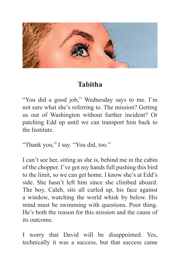

#### **Tabitha**

"You did a good job," Wednesday says to me. I'm not sure what she's referring to. The mission? Getting us out of Washington without further incident? Or patching Edd up until we can transport him back to the Institute.

"Thank you," I say. "You did, too."

I can't see her, sitting as she is, behind me in the cabin of the chopper. I've got my hands full pushing this bird to the limit, so we can get home. I know she's at Edd's side. She hasn't left him since she climbed aboard. The boy, Caleb, sits all curled up, his face against a window, watching the world whisk by below. His mind must be swimming with questions. Poor thing. He's both the reason for this mission and the cause of its outcome.

I worry that David will be disappointed. Yes, technically it was a success, but that success came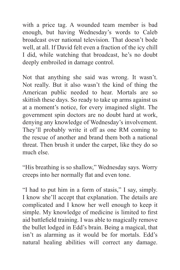with a price tag. A wounded team member is bad enough, but having Wednesday's words to Caleb broadcast over national television. That doesn't bode well, at all. If David felt even a fraction of the icy chill I did, while watching that broadcast, he's no doubt deeply embroiled in damage control.

Not that anything she said was wrong. It wasn't. Not really. But it also wasn't the kind of thing the American public needed to hear. Mortals are so skittish these days. So ready to take up arms against us at a moment's notice, for every imagined slight. The government spin doctors are no doubt hard at work, denying any knowledge of Wednesday's involvement. They'll probably write it off as one RM coming to the rescue of another and brand them both a national threat. Then brush it under the carpet, like they do so much else.

"His breathing is so shallow," Wednesday says. Worry creeps into her normally flat and even tone.

"I had to put him in a form of stasis," I say, simply. I know she'll accept that explanation. The details are complicated and I know her well enough to keep it simple. My knowledge of medicine is limited to first aid battlefield training. I was able to magically remove the bullet lodged in Edd's brain. Being a magical, that isn't as alarming as it would be for mortals. Edd's natural healing abilities will correct any damage.